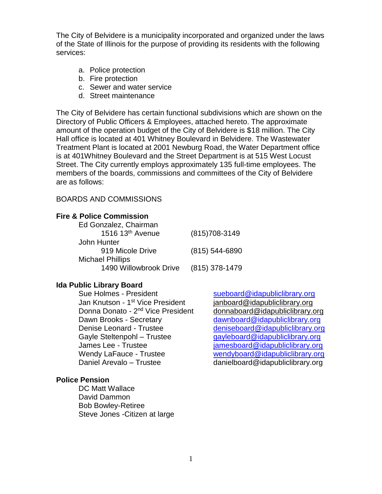The City of Belvidere is a municipality incorporated and organized under the laws of the State of Illinois for the purpose of providing its residents with the following services:

- a. Police protection
- b. Fire protection
- c. Sewer and water service
- d. Street maintenance

The City of Belvidere has certain functional subdivisions which are shown on the Directory of Public Officers & Employees, attached hereto. The approximate amount of the operation budget of the City of Belvidere is \$18 million. The City Hall office is located at 401 Whitney Boulevard in Belvidere. The Wastewater Treatment Plant is located at 2001 Newburg Road, the Water Department office is at 401Whitney Boulevard and the Street Department is at 515 West Locust Street. The City currently employs approximately 135 full-time employees. The members of the boards, commissions and committees of the City of Belvidere are as follows:

#### BOARDS AND COMMISSIONS

#### **Fire & Police Commission**

| Ed Gonzalez, Chairman   |                  |
|-------------------------|------------------|
| 1516 13th Avenue        | $(815)708-3149$  |
| John Hunter             |                  |
| 919 Micole Drive        | (815) 544-6890   |
| <b>Michael Phillips</b> |                  |
| 1490 Willowbrook Drive  | $(815)$ 378-1479 |

## **Ida Public Library Board**

Jan Knutson - 1<sup>st</sup> Vice President Donna Donato - 2<sup>nd</sup> Vice President Dawn Brooks - Secretary [dawnboard@idapubliclibrary.org](mailto:dawnboard@idapubliclibrary.org) Denise Leonard - Trustee [deniseboard@idapubliclibrary.org](mailto:deniseboard@idapubliclibrary.org) Gayle Steltenpohl – Trustee [gayleboard@idapubliclibrary.org](mailto:gayleboard@idapubliclibrary.org) James Lee - Trustee [jamesboard@idapubliclibrary.org](mailto:jamesboard@idapubliclibrary.org) Wendy LaFauce - Trustee [wendyboard@idapubliclibrary.org](mailto:wendyboard@idapubliclibrary.org) Daniel Arevalo – Trustee danielboard@idapubliclibrary.org

#### **Police Pension**

DC Matt Wallace David Dammon Bob Bowley-Retiree Steve Jones -Citizen at large

Sue Holmes - President [sueboard@idapubliclibrary.org](mailto:sueboard@idapubliclibrary.org) ianboard@idapubliclibrary.org [donnaboard@idapubliclibrary.org](mailto:donnaboard@idapubliclibrary.org)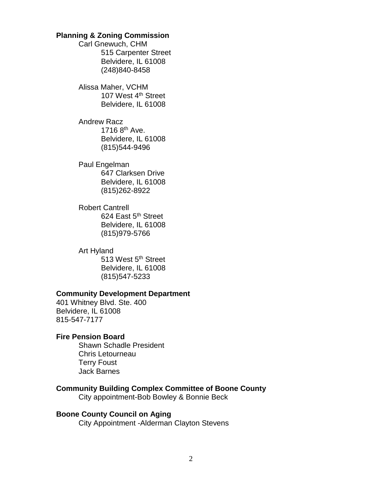### **Planning & Zoning Commission**

Carl Gnewuch, CHM 515 Carpenter Street Belvidere, IL 61008 (248)840-8458

Alissa Maher, VCHM 107 West 4<sup>th</sup> Street Belvidere, IL 61008

Andrew Racz 1716  $8^{th}$  Ave. Belvidere, IL 61008 (815)544-9496

Paul Engelman 647 Clarksen Drive Belvidere, IL 61008 (815)262-8922

Robert Cantrell 624 East 5<sup>th</sup> Street Belvidere, IL 61008 (815)979-5766

Art Hyland 513 West 5<sup>th</sup> Street Belvidere, IL 61008 (815)547-5233

#### **Community Development Department**

401 Whitney Blvd. Ste. 400 Belvidere, IL 61008 815-547-7177

#### **Fire Pension Board**

Shawn Schadle President Chris Letourneau Terry Foust Jack Barnes

#### **Community Building Complex Committee of Boone County** City appointment-Bob Bowley & Bonnie Beck

**Boone County Council on Aging** City Appointment -Alderman Clayton Stevens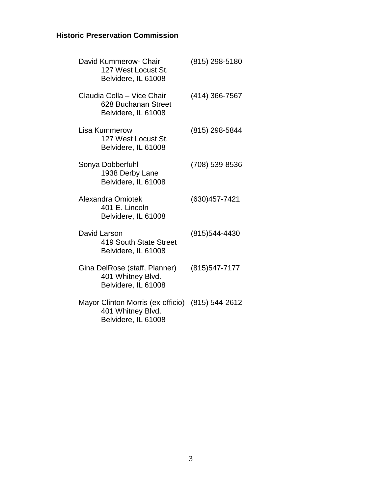# **Historic Preservation Commission**

|              | David Kummerow- Chair<br>127 West Locust St.<br>Belvidere, IL 61008           | (815) 298-5180 |
|--------------|-------------------------------------------------------------------------------|----------------|
|              | Claudia Colla - Vice Chair<br>628 Buchanan Street<br>Belvidere, IL 61008      | (414) 366-7567 |
|              | <b>Lisa Kummerow</b><br>127 West Locust St.<br>Belvidere, IL 61008            | (815) 298-5844 |
|              | Sonya Dobberfuhl<br>1938 Derby Lane<br>Belvidere, IL 61008                    | (708) 539-8536 |
|              | Alexandra Omiotek<br>401 E. Lincoln<br>Belvidere, IL 61008                    | (630) 457-7421 |
| David Larson | 419 South State Street<br>Belvidere, IL 61008                                 | (815) 544-4430 |
|              | Gina DelRose (staff, Planner)<br>401 Whitney Blvd.<br>Belvidere, IL 61008     | (815) 547-7177 |
|              | Mayor Clinton Morris (ex-officio)<br>401 Whitney Blvd.<br>Belvidere, IL 61008 | (815) 544-2612 |